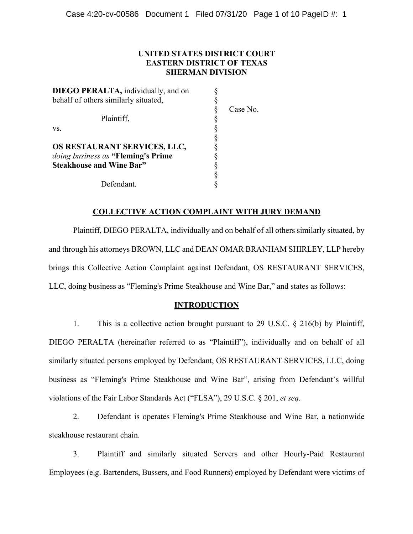## **UNITED STATES DISTRICT COURT EASTERN DISTRICT OF TEXAS SHERMAN DIVISION**

| <b>DIEGO PERALTA</b> , individually, and on |          |
|---------------------------------------------|----------|
| behalf of others similarly situated,        |          |
|                                             | Case No. |
| Plaintiff,                                  |          |
| VS.                                         |          |
|                                             |          |
| OS RESTAURANT SERVICES, LLC,                |          |
| doing business as "Fleming's Prime"         |          |
| <b>Steakhouse and Wine Bar"</b>             |          |
|                                             |          |
| Defendant.                                  |          |

### **COLLECTIVE ACTION COMPLAINT WITH JURY DEMAND**

Plaintiff, DIEGO PERALTA, individually and on behalf of all others similarly situated, by and through his attorneys BROWN, LLC and DEAN OMAR BRANHAM SHIRLEY, LLP hereby brings this Collective Action Complaint against Defendant, OS RESTAURANT SERVICES, LLC, doing business as "Fleming's Prime Steakhouse and Wine Bar," and states as follows:

### **INTRODUCTION**

1. This is a collective action brought pursuant to 29 U.S.C. § 216(b) by Plaintiff, DIEGO PERALTA (hereinafter referred to as "Plaintiff"), individually and on behalf of all similarly situated persons employed by Defendant, OS RESTAURANT SERVICES, LLC, doing business as "Fleming's Prime Steakhouse and Wine Bar", arising from Defendant's willful violations of the Fair Labor Standards Act ("FLSA"), 29 U.S.C. § 201, *et seq.*

2. Defendant is operates Fleming's Prime Steakhouse and Wine Bar, a nationwide steakhouse restaurant chain.

3. Plaintiff and similarly situated Servers and other Hourly-Paid Restaurant Employees (e.g. Bartenders, Bussers, and Food Runners) employed by Defendant were victims of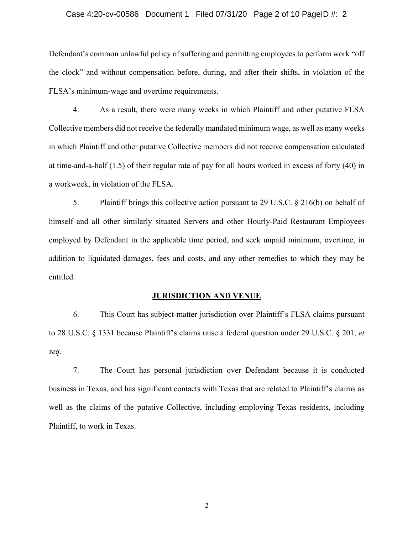### Case 4:20-cv-00586 Document 1 Filed 07/31/20 Page 2 of 10 PageID #: 2

Defendant's common unlawful policy of suffering and permitting employees to perform work "off the clock" and without compensation before, during, and after their shifts, in violation of the FLSA's minimum-wage and overtime requirements.

4. As a result, there were many weeks in which Plaintiff and other putative FLSA Collective members did not receive the federally mandated minimum wage, as well as many weeks in which Plaintiff and other putative Collective members did not receive compensation calculated at time-and-a-half (1.5) of their regular rate of pay for all hours worked in excess of forty (40) in a workweek, in violation of the FLSA.

5. Plaintiff brings this collective action pursuant to 29 U.S.C. § 216(b) on behalf of himself and all other similarly situated Servers and other Hourly-Paid Restaurant Employees employed by Defendant in the applicable time period, and seek unpaid minimum, overtime, in addition to liquidated damages, fees and costs, and any other remedies to which they may be entitled.

#### **JURISDICTION AND VENUE**

6. This Court has subject-matter jurisdiction over Plaintiff's FLSA claims pursuant to 28 U.S.C. § 1331 because Plaintiff's claims raise a federal question under 29 U.S.C. § 201, *et seq.*

7. The Court has personal jurisdiction over Defendant because it is conducted business in Texas, and has significant contacts with Texas that are related to Plaintiff's claims as well as the claims of the putative Collective, including employing Texas residents, including Plaintiff, to work in Texas.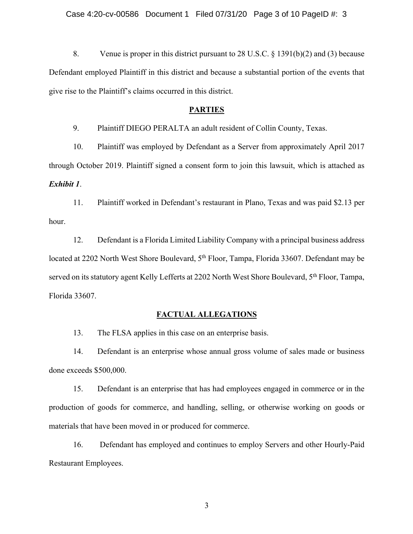8. Venue is proper in this district pursuant to 28 U.S.C. § 1391(b)(2) and (3) because Defendant employed Plaintiff in this district and because a substantial portion of the events that give rise to the Plaintiff's claims occurred in this district.

### **PARTIES**

9. Plaintiff DIEGO PERALTA an adult resident of Collin County, Texas.

10. Plaintiff was employed by Defendant as a Server from approximately April 2017 through October 2019. Plaintiff signed a consent form to join this lawsuit, which is attached as *Exhibit 1*.

11. Plaintiff worked in Defendant's restaurant in Plano, Texas and was paid \$2.13 per hour.

12. Defendant is a Florida Limited Liability Company with a principal business address located at 2202 North West Shore Boulevard, 5<sup>th</sup> Floor, Tampa, Florida 33607. Defendant may be served on its statutory agent Kelly Lefferts at 2202 North West Shore Boulevard, 5<sup>th</sup> Floor, Tampa, Florida 33607.

### **FACTUAL ALLEGATIONS**

13. The FLSA applies in this case on an enterprise basis.

14. Defendant is an enterprise whose annual gross volume of sales made or business done exceeds \$500,000.

15. Defendant is an enterprise that has had employees engaged in commerce or in the production of goods for commerce, and handling, selling, or otherwise working on goods or materials that have been moved in or produced for commerce.

16. Defendant has employed and continues to employ Servers and other Hourly-Paid Restaurant Employees.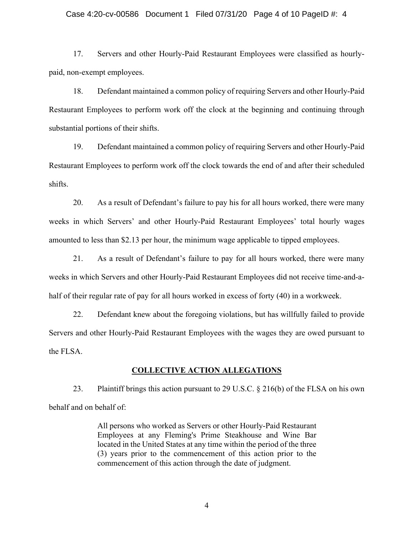### Case 4:20-cv-00586 Document 1 Filed 07/31/20 Page 4 of 10 PageID #: 4

17. Servers and other Hourly-Paid Restaurant Employees were classified as hourlypaid, non-exempt employees.

18. Defendant maintained a common policy of requiring Servers and other Hourly-Paid Restaurant Employees to perform work off the clock at the beginning and continuing through substantial portions of their shifts.

19. Defendant maintained a common policy of requiring Servers and other Hourly-Paid Restaurant Employees to perform work off the clock towards the end of and after their scheduled shifts.

20. As a result of Defendant's failure to pay his for all hours worked, there were many weeks in which Servers' and other Hourly-Paid Restaurant Employees' total hourly wages amounted to less than \$2.13 per hour, the minimum wage applicable to tipped employees.

21. As a result of Defendant's failure to pay for all hours worked, there were many weeks in which Servers and other Hourly-Paid Restaurant Employees did not receive time-and-ahalf of their regular rate of pay for all hours worked in excess of forty (40) in a workweek.

22. Defendant knew about the foregoing violations, but has willfully failed to provide Servers and other Hourly-Paid Restaurant Employees with the wages they are owed pursuant to the FLSA.

#### **COLLECTIVE ACTION ALLEGATIONS**

23. Plaintiff brings this action pursuant to 29 U.S.C. § 216(b) of the FLSA on his own behalf and on behalf of:

> All persons who worked as Servers or other Hourly-Paid Restaurant Employees at any Fleming's Prime Steakhouse and Wine Bar located in the United States at any time within the period of the three (3) years prior to the commencement of this action prior to the commencement of this action through the date of judgment.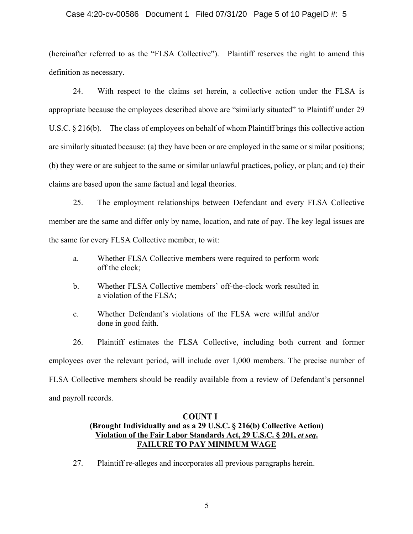### Case 4:20-cv-00586 Document 1 Filed 07/31/20 Page 5 of 10 PageID #: 5

(hereinafter referred to as the "FLSA Collective"). Plaintiff reserves the right to amend this definition as necessary.

24. With respect to the claims set herein, a collective action under the FLSA is appropriate because the employees described above are "similarly situated" to Plaintiff under 29 U.S.C. § 216(b). The class of employees on behalf of whom Plaintiff brings this collective action are similarly situated because: (a) they have been or are employed in the same or similar positions; (b) they were or are subject to the same or similar unlawful practices, policy, or plan; and (c) their claims are based upon the same factual and legal theories.

25. The employment relationships between Defendant and every FLSA Collective member are the same and differ only by name, location, and rate of pay. The key legal issues are the same for every FLSA Collective member, to wit:

- a. Whether FLSA Collective members were required to perform work off the clock;
- b. Whether FLSA Collective members' off-the-clock work resulted in a violation of the FLSA;
- c. Whether Defendant's violations of the FLSA were willful and/or done in good faith.

26. Plaintiff estimates the FLSA Collective, including both current and former employees over the relevant period, will include over 1,000 members. The precise number of FLSA Collective members should be readily available from a review of Defendant's personnel and payroll records.

# **COUNT I (Brought Individually and as a 29 U.S.C. § 216(b) Collective Action) Violation of the Fair Labor Standards Act, 29 U.S.C. § 201,** *et seq***. FAILURE TO PAY MINIMUM WAGE**

27. Plaintiff re-alleges and incorporates all previous paragraphs herein.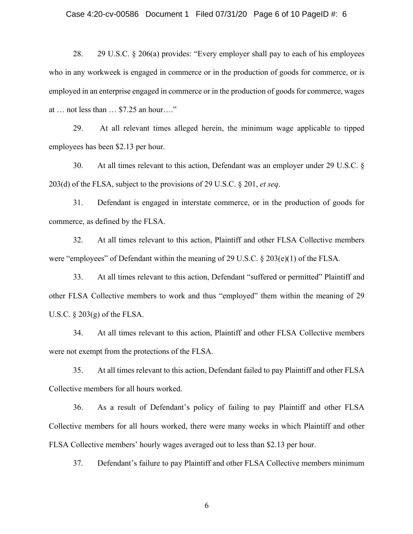## Case 4:20-cv-00586 Document 1 Filed 07/31/20 Page 6 of 10 PageID #: 6

28. 29 U.S.C. § 206(a) provides: "Every employer shall pay to each of his employees who in any workweek is engaged in commerce or in the production of goods for commerce, or is employed in an enterprise engaged in commerce or in the production of goods for commerce, wages at … not less than … \$7.25 an hour…."

29. At all relevant times alleged herein, the minimum wage applicable to tipped employees has been \$2.13 per hour.

30. At all times relevant to this action, Defendant was an employer under 29 U.S.C. § 203(d) of the FLSA, subject to the provisions of 29 U.S.C. § 201, *et seq*.

31. Defendant is engaged in interstate commerce, or in the production of goods for commerce, as defined by the FLSA.

32. At all times relevant to this action, Plaintiff and other FLSA Collective members were "employees" of Defendant within the meaning of 29 U.S.C. § 203(e)(1) of the FLSA.

33. At all times relevant to this action, Defendant "suffered or permitted" Plaintiff and other FLSA Collective members to work and thus "employed" them within the meaning of 29 U.S.C.  $\S 203(g)$  of the FLSA.

34. At all times relevant to this action, Plaintiff and other FLSA Collective members were not exempt from the protections of the FLSA.

35. At all times relevant to this action, Defendant failed to pay Plaintiff and other FLSA Collective members for all hours worked.

36. As a result of Defendant's policy of failing to pay Plaintiff and other FLSA Collective members for all hours worked, there were many weeks in which Plaintiff and other FLSA Collective members' hourly wages averaged out to less than \$2.13 per hour.

37. Defendant's failure to pay Plaintiff and other FLSA Collective members minimum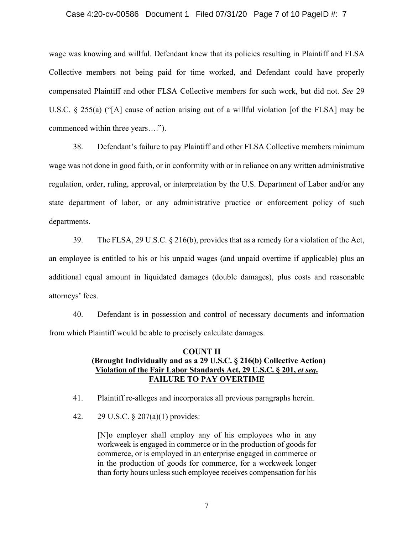### Case 4:20-cv-00586 Document 1 Filed 07/31/20 Page 7 of 10 PageID #: 7

wage was knowing and willful. Defendant knew that its policies resulting in Plaintiff and FLSA Collective members not being paid for time worked, and Defendant could have properly compensated Plaintiff and other FLSA Collective members for such work, but did not. *See* 29 U.S.C. § 255(a) ("[A] cause of action arising out of a willful violation [of the FLSA] may be commenced within three years….").

38. Defendant's failure to pay Plaintiff and other FLSA Collective members minimum wage was not done in good faith, or in conformity with or in reliance on any written administrative regulation, order, ruling, approval, or interpretation by the U.S. Department of Labor and/or any state department of labor, or any administrative practice or enforcement policy of such departments.

39. The FLSA, 29 U.S.C.  $\S 216(b)$ , provides that as a remedy for a violation of the Act, an employee is entitled to his or his unpaid wages (and unpaid overtime if applicable) plus an additional equal amount in liquidated damages (double damages), plus costs and reasonable attorneys' fees.

40. Defendant is in possession and control of necessary documents and information from which Plaintiff would be able to precisely calculate damages.

## **COUNT II (Brought Individually and as a 29 U.S.C. § 216(b) Collective Action)** Violation of the Fair Labor Standards Act, 29 U.S.C. § 201, *et seq.* **FAILURE TO PAY OVERTIME**

41. Plaintiff re-alleges and incorporates all previous paragraphs herein.

42. 29 U.S.C. § 207(a)(1) provides:

[N]o employer shall employ any of his employees who in any workweek is engaged in commerce or in the production of goods for commerce, or is employed in an enterprise engaged in commerce or in the production of goods for commerce, for a workweek longer than forty hours unless such employee receives compensation for his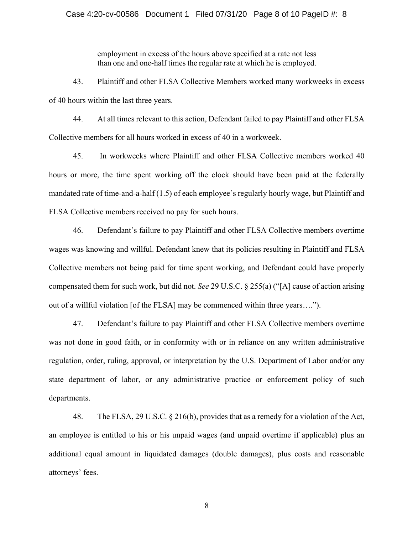## Case 4:20-cv-00586 Document 1 Filed 07/31/20 Page 8 of 10 PageID #: 8

employment in excess of the hours above specified at a rate not less than one and one-half times the regular rate at which he is employed.

43. Plaintiff and other FLSA Collective Members worked many workweeks in excess of 40 hours within the last three years.

44. At all times relevant to this action, Defendant failed to pay Plaintiff and other FLSA Collective members for all hours worked in excess of 40 in a workweek.

45. In workweeks where Plaintiff and other FLSA Collective members worked 40 hours or more, the time spent working off the clock should have been paid at the federally mandated rate of time-and-a-half (1.5) of each employee's regularly hourly wage, but Plaintiff and FLSA Collective members received no pay for such hours.

46. Defendant's failure to pay Plaintiff and other FLSA Collective members overtime wages was knowing and willful. Defendant knew that its policies resulting in Plaintiff and FLSA Collective members not being paid for time spent working, and Defendant could have properly compensated them for such work, but did not. *See* 29 U.S.C. § 255(a) ("[A] cause of action arising out of a willful violation [of the FLSA] may be commenced within three years….").

47. Defendant's failure to pay Plaintiff and other FLSA Collective members overtime was not done in good faith, or in conformity with or in reliance on any written administrative regulation, order, ruling, approval, or interpretation by the U.S. Department of Labor and/or any state department of labor, or any administrative practice or enforcement policy of such departments.

48. The FLSA, 29 U.S.C. § 216(b), provides that as a remedy for a violation of the Act, an employee is entitled to his or his unpaid wages (and unpaid overtime if applicable) plus an additional equal amount in liquidated damages (double damages), plus costs and reasonable attorneys' fees.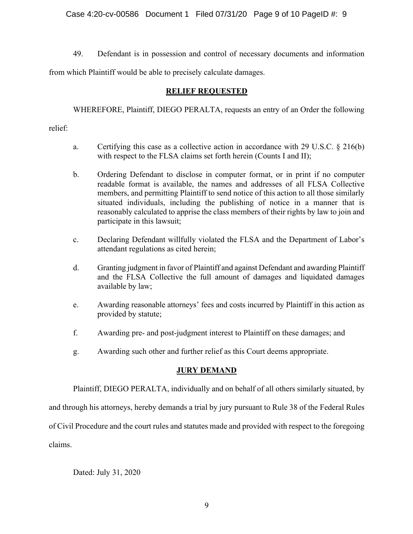Case 4:20-cv-00586 Document 1 Filed 07/31/20 Page 9 of 10 PageID #: 9

49. Defendant is in possession and control of necessary documents and information

from which Plaintiff would be able to precisely calculate damages.

# **RELIEF REQUESTED**

WHEREFORE, Plaintiff, DIEGO PERALTA, requests an entry of an Order the following

relief:

- a. Certifying this case as a collective action in accordance with 29 U.S.C. § 216(b) with respect to the FLSA claims set forth herein (Counts I and II);
- b. Ordering Defendant to disclose in computer format, or in print if no computer readable format is available, the names and addresses of all FLSA Collective members, and permitting Plaintiff to send notice of this action to all those similarly situated individuals, including the publishing of notice in a manner that is reasonably calculated to apprise the class members of their rights by law to join and participate in this lawsuit;
- c. Declaring Defendant willfully violated the FLSA and the Department of Labor's attendant regulations as cited herein;
- d. Granting judgment in favor of Plaintiff and against Defendant and awarding Plaintiff and the FLSA Collective the full amount of damages and liquidated damages available by law;
- e. Awarding reasonable attorneys' fees and costs incurred by Plaintiff in this action as provided by statute;
- f. Awarding pre- and post-judgment interest to Plaintiff on these damages; and
- g. Awarding such other and further relief as this Court deems appropriate.

# **JURY DEMAND**

Plaintiff, DIEGO PERALTA, individually and on behalf of all others similarly situated, by

and through his attorneys, hereby demands a trial by jury pursuant to Rule 38 of the Federal Rules

of Civil Procedure and the court rules and statutes made and provided with respect to the foregoing

claims.

Dated: July 31, 2020